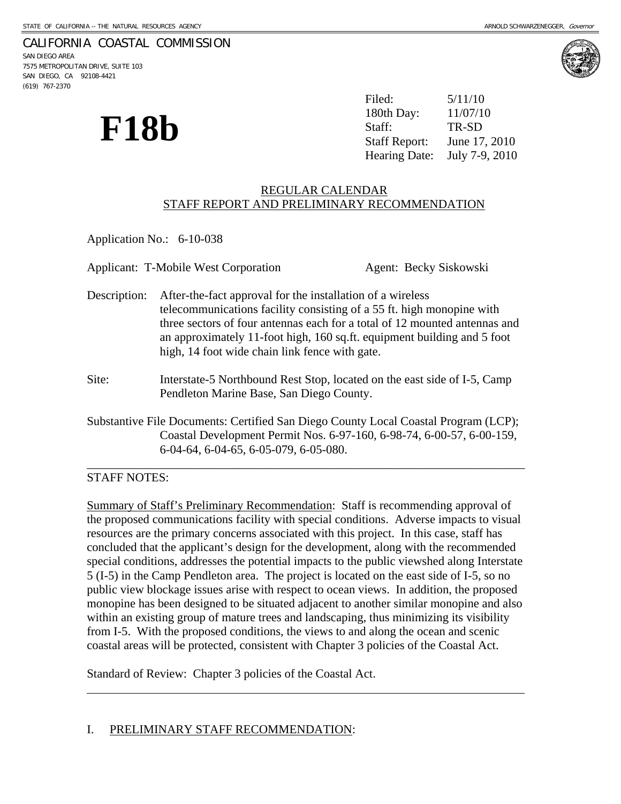# CALIFORNIA COASTAL COMMISSION

SAN DIEGO AREA 7575 METROPOLITAN DRIVE, SUITE 103 SAN DIEGO, CA 92108-4421 (619) 767-2370



**F18b**  $\sum_{\text{Staff:}}$   $\sum_{\text{Staff:}}$   $\sum_{\text{Staff:}}$   $\sum_{\text{Im } P, \text{SD}}$ Filed: 5/11/10 180th Day: June 17, 2010 Hearing Date: July 7-9, 2010

## REGULAR CALENDAR STAFF REPORT AND PRELIMINARY RECOMMENDATION

Application No.: 6-10-038

Applicant: T-Mobile West Corporation **Agent: Becky Siskowski** Description: After-the-fact approval for the installation of a wireless telecommunications facility consisting of a 55 ft. high monopine with three sectors of four antennas each for a total of 12 mounted antennas and an approximately 11-foot high, 160 sq.ft. equipment building and 5 foot high, 14 foot wide chain link fence with gate. Site: Interstate-5 Northbound Rest Stop, located on the east side of I-5, Camp Pendleton Marine Base, San Diego County. Substantive File Documents: Certified San Diego County Local Coastal Program (LCP); Coastal Development Permit Nos. 6-97-160, 6-98-74, 6-00-57, 6-00-159,

#### \_\_\_\_\_\_\_\_\_\_\_\_\_\_\_\_\_\_\_\_\_\_\_\_\_\_\_\_\_\_\_\_\_\_\_\_\_\_\_\_\_\_\_\_\_\_\_\_\_\_\_\_\_\_\_\_\_\_\_\_\_\_\_\_\_\_\_\_\_\_\_\_ STAFF NOTES:

 $\overline{a}$ 

Summary of Staff's Preliminary Recommendation: Staff is recommending approval of the proposed communications facility with special conditions. Adverse impacts to visual resources are the primary concerns associated with this project. In this case, staff has concluded that the applicant's design for the development, along with the recommended special conditions, addresses the potential impacts to the public viewshed along Interstate 5 (I-5) in the Camp Pendleton area. The project is located on the east side of I-5, so no public view blockage issues arise with respect to ocean views. In addition, the proposed monopine has been designed to be situated adjacent to another similar monopine and also within an existing group of mature trees and landscaping, thus minimizing its visibility from I-5. With the proposed conditions, the views to and along the ocean and scenic coastal areas will be protected, consistent with Chapter 3 policies of the Coastal Act.

Standard of Review: Chapter 3 policies of the Coastal Act.

6-04-64, 6-04-65, 6-05-079, 6-05-080.

#### I. PRELIMINARY STAFF RECOMMENDATION: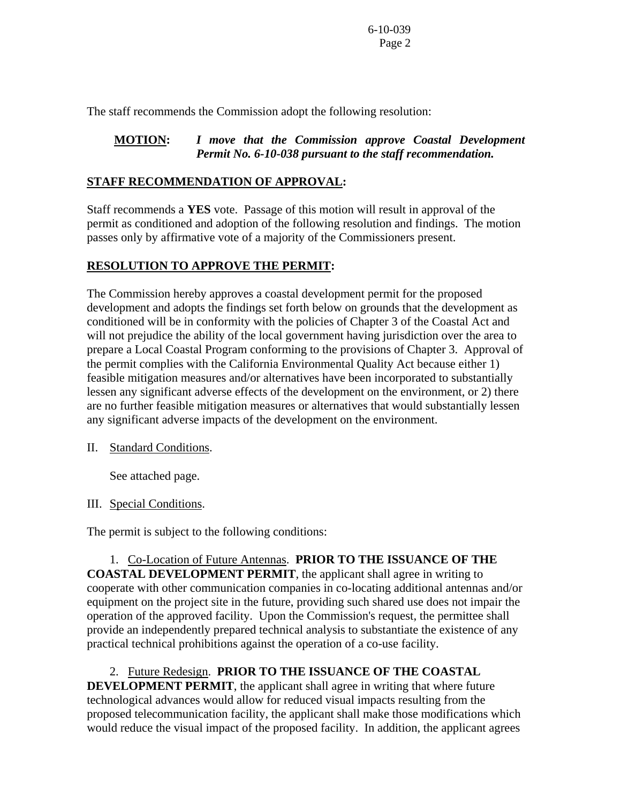The staff recommends the Commission adopt the following resolution:

## **MOTION:** *I move that the Commission approve Coastal Development Permit No. 6-10-038 pursuant to the staff recommendation.*

## **STAFF RECOMMENDATION OF APPROVAL:**

Staff recommends a **YES** vote. Passage of this motion will result in approval of the permit as conditioned and adoption of the following resolution and findings. The motion passes only by affirmative vote of a majority of the Commissioners present.

# **RESOLUTION TO APPROVE THE PERMIT:**

The Commission hereby approves a coastal development permit for the proposed development and adopts the findings set forth below on grounds that the development as conditioned will be in conformity with the policies of Chapter 3 of the Coastal Act and will not prejudice the ability of the local government having jurisdiction over the area to prepare a Local Coastal Program conforming to the provisions of Chapter 3. Approval of the permit complies with the California Environmental Quality Act because either 1) feasible mitigation measures and/or alternatives have been incorporated to substantially lessen any significant adverse effects of the development on the environment, or 2) there are no further feasible mitigation measures or alternatives that would substantially lessen any significant adverse impacts of the development on the environment.

II. Standard Conditions.

See attached page.

III. Special Conditions.

The permit is subject to the following conditions:

 1. Co-Location of Future Antennas. **PRIOR TO THE ISSUANCE OF THE COASTAL DEVELOPMENT PERMIT**, the applicant shall agree in writing to cooperate with other communication companies in co-locating additional antennas and/or equipment on the project site in the future, providing such shared use does not impair the operation of the approved facility. Upon the Commission's request, the permittee shall provide an independently prepared technical analysis to substantiate the existence of any practical technical prohibitions against the operation of a co-use facility.

 2. Future Redesign. **PRIOR TO THE ISSUANCE OF THE COASTAL DEVELOPMENT PERMIT**, the applicant shall agree in writing that where future technological advances would allow for reduced visual impacts resulting from the proposed telecommunication facility, the applicant shall make those modifications which would reduce the visual impact of the proposed facility. In addition, the applicant agrees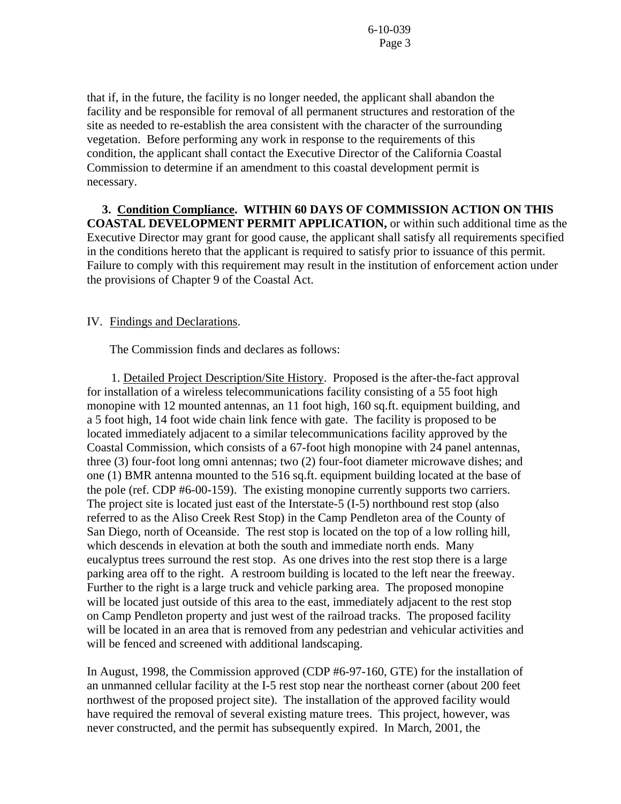that if, in the future, the facility is no longer needed, the applicant shall abandon the facility and be responsible for removal of all permanent structures and restoration of the site as needed to re-establish the area consistent with the character of the surrounding vegetation. Before performing any work in response to the requirements of this condition, the applicant shall contact the Executive Director of the California Coastal Commission to determine if an amendment to this coastal development permit is necessary.

 **3. Condition Compliance. WITHIN 60 DAYS OF COMMISSION ACTION ON THIS COASTAL DEVELOPMENT PERMIT APPLICATION,** or within such additional time as the Executive Director may grant for good cause, the applicant shall satisfy all requirements specified in the conditions hereto that the applicant is required to satisfy prior to issuance of this permit. Failure to comply with this requirement may result in the institution of enforcement action under the provisions of Chapter 9 of the Coastal Act.

#### IV. Findings and Declarations.

The Commission finds and declares as follows:

1. Detailed Project Description/Site History. Proposed is the after-the-fact approval for installation of a wireless telecommunications facility consisting of a 55 foot high monopine with 12 mounted antennas, an 11 foot high, 160 sq.ft. equipment building, and a 5 foot high, 14 foot wide chain link fence with gate. The facility is proposed to be located immediately adjacent to a similar telecommunications facility approved by the Coastal Commission, which consists of a 67-foot high monopine with 24 panel antennas, three (3) four-foot long omni antennas; two (2) four-foot diameter microwave dishes; and one (1) BMR antenna mounted to the 516 sq.ft. equipment building located at the base of the pole (ref. CDP #6-00-159). The existing monopine currently supports two carriers. The project site is located just east of the Interstate-5 (I-5) northbound rest stop (also referred to as the Aliso Creek Rest Stop) in the Camp Pendleton area of the County of San Diego, north of Oceanside. The rest stop is located on the top of a low rolling hill, which descends in elevation at both the south and immediate north ends. Many eucalyptus trees surround the rest stop. As one drives into the rest stop there is a large parking area off to the right. A restroom building is located to the left near the freeway. Further to the right is a large truck and vehicle parking area. The proposed monopine will be located just outside of this area to the east, immediately adjacent to the rest stop on Camp Pendleton property and just west of the railroad tracks. The proposed facility will be located in an area that is removed from any pedestrian and vehicular activities and will be fenced and screened with additional landscaping.

In August, 1998, the Commission approved (CDP #6-97-160, GTE) for the installation of an unmanned cellular facility at the I-5 rest stop near the northeast corner (about 200 feet northwest of the proposed project site). The installation of the approved facility would have required the removal of several existing mature trees. This project, however, was never constructed, and the permit has subsequently expired. In March, 2001, the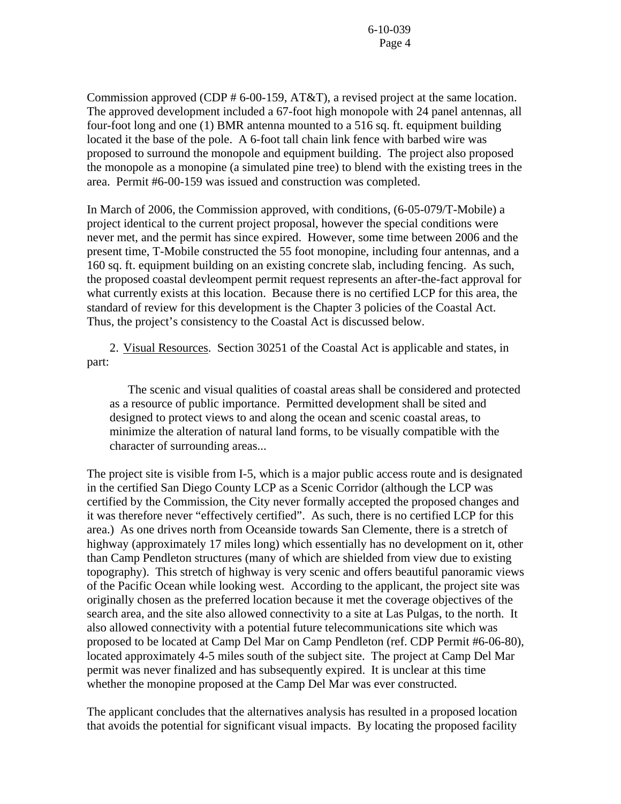Commission approved (CDP # 6-00-159, AT&T), a revised project at the same location. The approved development included a 67-foot high monopole with 24 panel antennas, all four-foot long and one (1) BMR antenna mounted to a 516 sq. ft. equipment building located it the base of the pole. A 6-foot tall chain link fence with barbed wire was proposed to surround the monopole and equipment building. The project also proposed the monopole as a monopine (a simulated pine tree) to blend with the existing trees in the area. Permit #6-00-159 was issued and construction was completed.

In March of 2006, the Commission approved, with conditions, (6-05-079/T-Mobile) a project identical to the current project proposal, however the special conditions were never met, and the permit has since expired. However, some time between 2006 and the present time, T-Mobile constructed the 55 foot monopine, including four antennas, and a 160 sq. ft. equipment building on an existing concrete slab, including fencing. As such, the proposed coastal devleompent permit request represents an after-the-fact approval for what currently exists at this location. Because there is no certified LCP for this area, the standard of review for this development is the Chapter 3 policies of the Coastal Act. Thus, the project's consistency to the Coastal Act is discussed below.

2. Visual Resources. Section 30251 of the Coastal Act is applicable and states, in part:

 The scenic and visual qualities of coastal areas shall be considered and protected as a resource of public importance. Permitted development shall be sited and designed to protect views to and along the ocean and scenic coastal areas, to minimize the alteration of natural land forms, to be visually compatible with the character of surrounding areas...

The project site is visible from I-5, which is a major public access route and is designated in the certified San Diego County LCP as a Scenic Corridor (although the LCP was certified by the Commission, the City never formally accepted the proposed changes and it was therefore never "effectively certified". As such, there is no certified LCP for this area.) As one drives north from Oceanside towards San Clemente, there is a stretch of highway (approximately 17 miles long) which essentially has no development on it, other than Camp Pendleton structures (many of which are shielded from view due to existing topography). This stretch of highway is very scenic and offers beautiful panoramic views of the Pacific Ocean while looking west. According to the applicant, the project site was originally chosen as the preferred location because it met the coverage objectives of the search area, and the site also allowed connectivity to a site at Las Pulgas, to the north. It also allowed connectivity with a potential future telecommunications site which was proposed to be located at Camp Del Mar on Camp Pendleton (ref. CDP Permit #6-06-80), located approximately 4-5 miles south of the subject site. The project at Camp Del Mar permit was never finalized and has subsequently expired. It is unclear at this time whether the monopine proposed at the Camp Del Mar was ever constructed.

The applicant concludes that the alternatives analysis has resulted in a proposed location that avoids the potential for significant visual impacts. By locating the proposed facility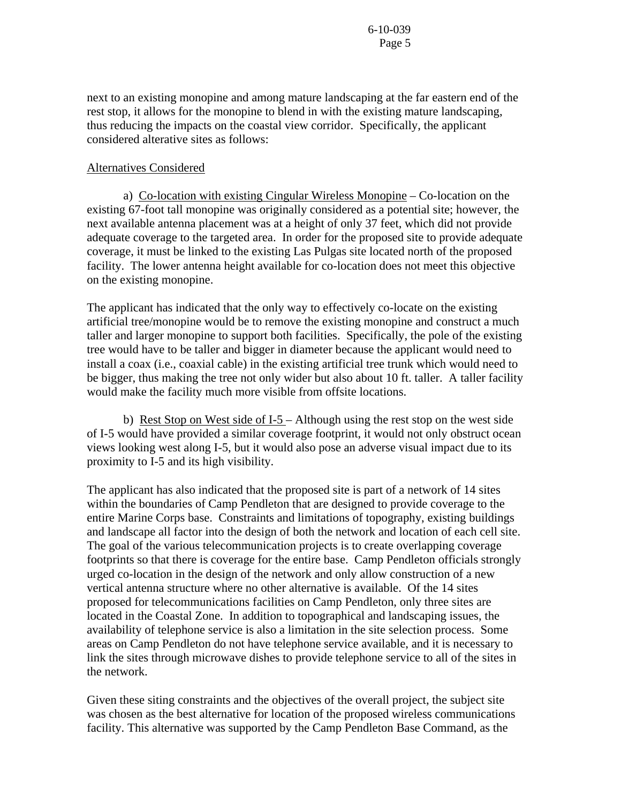next to an existing monopine and among mature landscaping at the far eastern end of the rest stop, it allows for the monopine to blend in with the existing mature landscaping, thus reducing the impacts on the coastal view corridor. Specifically, the applicant considered alterative sites as follows:

#### Alternatives Considered

a) Co-location with existing Cingular Wireless Monopine – Co-location on the existing 67-foot tall monopine was originally considered as a potential site; however, the next available antenna placement was at a height of only 37 feet, which did not provide adequate coverage to the targeted area. In order for the proposed site to provide adequate coverage, it must be linked to the existing Las Pulgas site located north of the proposed facility. The lower antenna height available for co-location does not meet this objective on the existing monopine.

The applicant has indicated that the only way to effectively co-locate on the existing artificial tree/monopine would be to remove the existing monopine and construct a much taller and larger monopine to support both facilities. Specifically, the pole of the existing tree would have to be taller and bigger in diameter because the applicant would need to install a coax (i.e., coaxial cable) in the existing artificial tree trunk which would need to be bigger, thus making the tree not only wider but also about 10 ft. taller. A taller facility would make the facility much more visible from offsite locations.

b) Rest Stop on West side of I-5 – Although using the rest stop on the west side of I-5 would have provided a similar coverage footprint, it would not only obstruct ocean views looking west along I-5, but it would also pose an adverse visual impact due to its proximity to I-5 and its high visibility.

The applicant has also indicated that the proposed site is part of a network of 14 sites within the boundaries of Camp Pendleton that are designed to provide coverage to the entire Marine Corps base. Constraints and limitations of topography, existing buildings and landscape all factor into the design of both the network and location of each cell site. The goal of the various telecommunication projects is to create overlapping coverage footprints so that there is coverage for the entire base. Camp Pendleton officials strongly urged co-location in the design of the network and only allow construction of a new vertical antenna structure where no other alternative is available. Of the 14 sites proposed for telecommunications facilities on Camp Pendleton, only three sites are located in the Coastal Zone. In addition to topographical and landscaping issues, the availability of telephone service is also a limitation in the site selection process. Some areas on Camp Pendleton do not have telephone service available, and it is necessary to link the sites through microwave dishes to provide telephone service to all of the sites in the network.

Given these siting constraints and the objectives of the overall project, the subject site was chosen as the best alternative for location of the proposed wireless communications facility. This alternative was supported by the Camp Pendleton Base Command, as the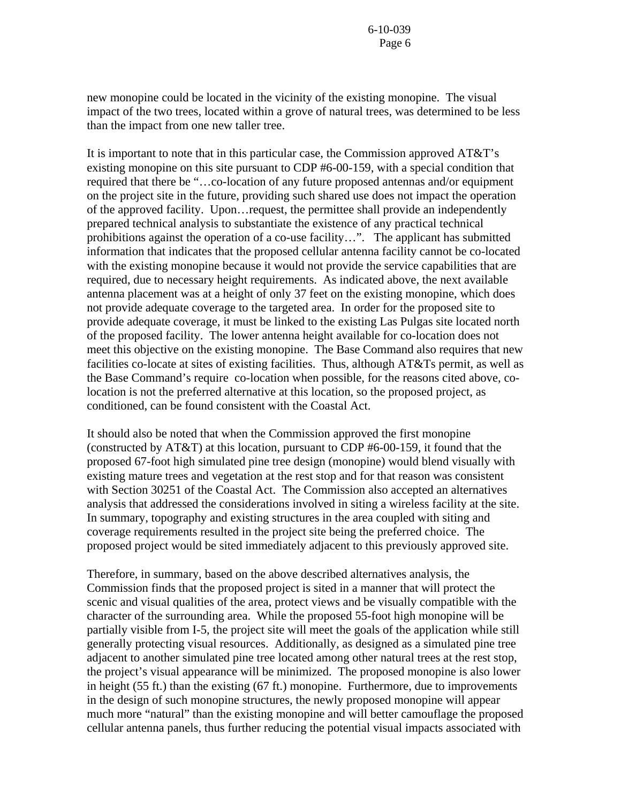new monopine could be located in the vicinity of the existing monopine. The visual impact of the two trees, located within a grove of natural trees, was determined to be less than the impact from one new taller tree.

It is important to note that in this particular case, the Commission approved AT&T's existing monopine on this site pursuant to CDP #6-00-159, with a special condition that required that there be "…co-location of any future proposed antennas and/or equipment on the project site in the future, providing such shared use does not impact the operation of the approved facility. Upon…request, the permittee shall provide an independently prepared technical analysis to substantiate the existence of any practical technical prohibitions against the operation of a co-use facility…". The applicant has submitted information that indicates that the proposed cellular antenna facility cannot be co-located with the existing monopine because it would not provide the service capabilities that are required, due to necessary height requirements. As indicated above, the next available antenna placement was at a height of only 37 feet on the existing monopine, which does not provide adequate coverage to the targeted area. In order for the proposed site to provide adequate coverage, it must be linked to the existing Las Pulgas site located north of the proposed facility. The lower antenna height available for co-location does not meet this objective on the existing monopine. The Base Command also requires that new facilities co-locate at sites of existing facilities. Thus, although AT&Ts permit, as well as the Base Command's require co-location when possible, for the reasons cited above, colocation is not the preferred alternative at this location, so the proposed project, as conditioned, can be found consistent with the Coastal Act.

It should also be noted that when the Commission approved the first monopine (constructed by AT&T) at this location, pursuant to CDP #6-00-159, it found that the proposed 67-foot high simulated pine tree design (monopine) would blend visually with existing mature trees and vegetation at the rest stop and for that reason was consistent with Section 30251 of the Coastal Act. The Commission also accepted an alternatives analysis that addressed the considerations involved in siting a wireless facility at the site. In summary, topography and existing structures in the area coupled with siting and coverage requirements resulted in the project site being the preferred choice. The proposed project would be sited immediately adjacent to this previously approved site.

Therefore, in summary, based on the above described alternatives analysis, the Commission finds that the proposed project is sited in a manner that will protect the scenic and visual qualities of the area, protect views and be visually compatible with the character of the surrounding area. While the proposed 55-foot high monopine will be partially visible from I-5, the project site will meet the goals of the application while still generally protecting visual resources. Additionally, as designed as a simulated pine tree adjacent to another simulated pine tree located among other natural trees at the rest stop, the project's visual appearance will be minimized. The proposed monopine is also lower in height (55 ft.) than the existing (67 ft.) monopine. Furthermore, due to improvements in the design of such monopine structures, the newly proposed monopine will appear much more "natural" than the existing monopine and will better camouflage the proposed cellular antenna panels, thus further reducing the potential visual impacts associated with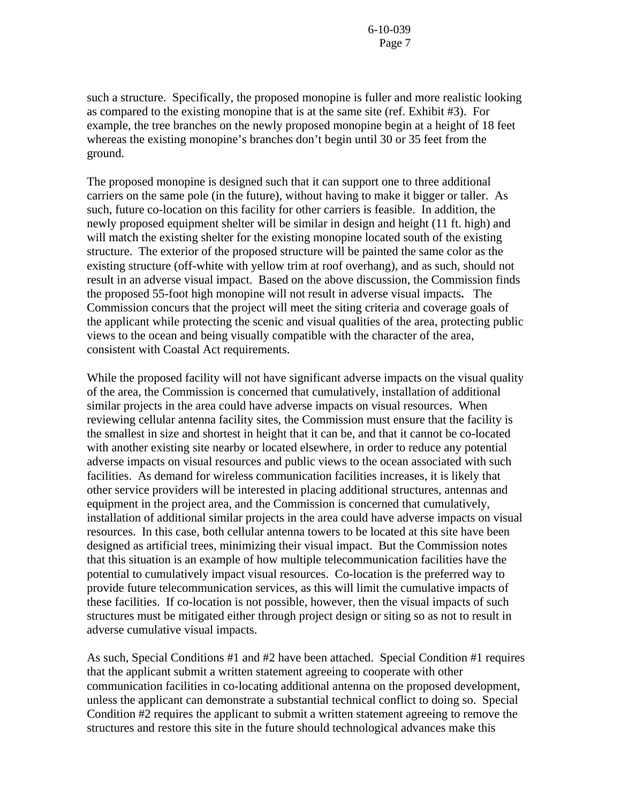such a structure. Specifically, the proposed monopine is fuller and more realistic looking as compared to the existing monopine that is at the same site (ref. Exhibit #3). For example, the tree branches on the newly proposed monopine begin at a height of 18 feet whereas the existing monopine's branches don't begin until 30 or 35 feet from the ground.

The proposed monopine is designed such that it can support one to three additional carriers on the same pole (in the future), without having to make it bigger or taller. As such, future co-location on this facility for other carriers is feasible. In addition, the newly proposed equipment shelter will be similar in design and height (11 ft. high) and will match the existing shelter for the existing monopine located south of the existing structure. The exterior of the proposed structure will be painted the same color as the existing structure (off-white with yellow trim at roof overhang), and as such, should not result in an adverse visual impact. Based on the above discussion, the Commission finds the proposed 55-foot high monopine will not result in adverse visual impacts**.** The Commission concurs that the project will meet the siting criteria and coverage goals of the applicant while protecting the scenic and visual qualities of the area, protecting public views to the ocean and being visually compatible with the character of the area, consistent with Coastal Act requirements.

While the proposed facility will not have significant adverse impacts on the visual quality of the area, the Commission is concerned that cumulatively, installation of additional similar projects in the area could have adverse impacts on visual resources. When reviewing cellular antenna facility sites, the Commission must ensure that the facility is the smallest in size and shortest in height that it can be, and that it cannot be co-located with another existing site nearby or located elsewhere, in order to reduce any potential adverse impacts on visual resources and public views to the ocean associated with such facilities. As demand for wireless communication facilities increases, it is likely that other service providers will be interested in placing additional structures, antennas and equipment in the project area, and the Commission is concerned that cumulatively, installation of additional similar projects in the area could have adverse impacts on visual resources. In this case, both cellular antenna towers to be located at this site have been designed as artificial trees, minimizing their visual impact. But the Commission notes that this situation is an example of how multiple telecommunication facilities have the potential to cumulatively impact visual resources. Co-location is the preferred way to provide future telecommunication services, as this will limit the cumulative impacts of these facilities. If co-location is not possible, however, then the visual impacts of such structures must be mitigated either through project design or siting so as not to result in adverse cumulative visual impacts.

As such, Special Conditions #1 and #2 have been attached. Special Condition #1 requires that the applicant submit a written statement agreeing to cooperate with other communication facilities in co-locating additional antenna on the proposed development, unless the applicant can demonstrate a substantial technical conflict to doing so. Special Condition #2 requires the applicant to submit a written statement agreeing to remove the structures and restore this site in the future should technological advances make this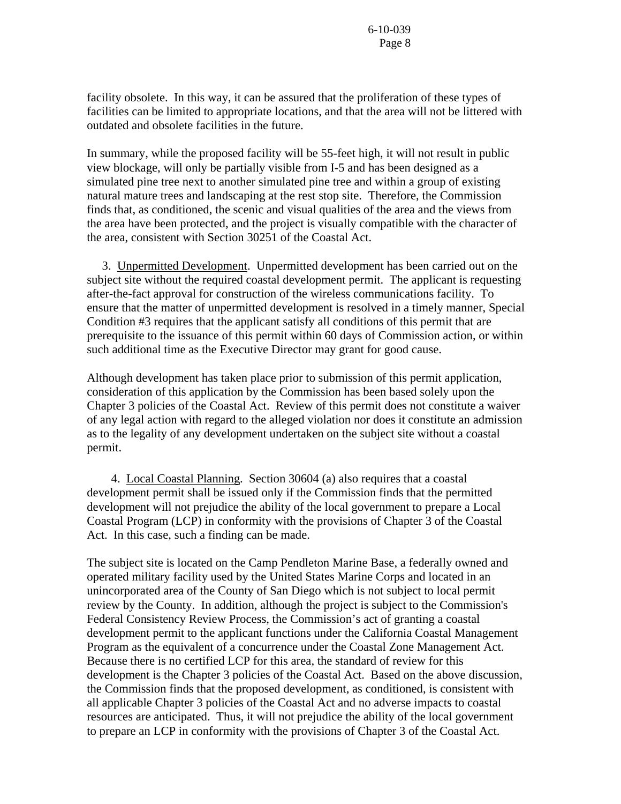facility obsolete. In this way, it can be assured that the proliferation of these types of facilities can be limited to appropriate locations, and that the area will not be littered with outdated and obsolete facilities in the future.

In summary, while the proposed facility will be 55-feet high, it will not result in public view blockage, will only be partially visible from I-5 and has been designed as a simulated pine tree next to another simulated pine tree and within a group of existing natural mature trees and landscaping at the rest stop site. Therefore, the Commission finds that, as conditioned, the scenic and visual qualities of the area and the views from the area have been protected, and the project is visually compatible with the character of the area, consistent with Section 30251 of the Coastal Act.

 3. Unpermitted Development. Unpermitted development has been carried out on the subject site without the required coastal development permit. The applicant is requesting after-the-fact approval for construction of the wireless communications facility. To ensure that the matter of unpermitted development is resolved in a timely manner, Special Condition #3 requires that the applicant satisfy all conditions of this permit that are prerequisite to the issuance of this permit within 60 days of Commission action, or within such additional time as the Executive Director may grant for good cause.

Although development has taken place prior to submission of this permit application, consideration of this application by the Commission has been based solely upon the Chapter 3 policies of the Coastal Act. Review of this permit does not constitute a waiver of any legal action with regard to the alleged violation nor does it constitute an admission as to the legality of any development undertaken on the subject site without a coastal permit.

 4. Local Coastal Planning. Section 30604 (a) also requires that a coastal development permit shall be issued only if the Commission finds that the permitted development will not prejudice the ability of the local government to prepare a Local Coastal Program (LCP) in conformity with the provisions of Chapter 3 of the Coastal Act. In this case, such a finding can be made.

The subject site is located on the Camp Pendleton Marine Base, a federally owned and operated military facility used by the United States Marine Corps and located in an unincorporated area of the County of San Diego which is not subject to local permit review by the County. In addition, although the project is subject to the Commission's Federal Consistency Review Process, the Commission's act of granting a coastal development permit to the applicant functions under the California Coastal Management Program as the equivalent of a concurrence under the Coastal Zone Management Act. Because there is no certified LCP for this area, the standard of review for this development is the Chapter 3 policies of the Coastal Act. Based on the above discussion, the Commission finds that the proposed development, as conditioned, is consistent with all applicable Chapter 3 policies of the Coastal Act and no adverse impacts to coastal resources are anticipated. Thus, it will not prejudice the ability of the local government to prepare an LCP in conformity with the provisions of Chapter 3 of the Coastal Act.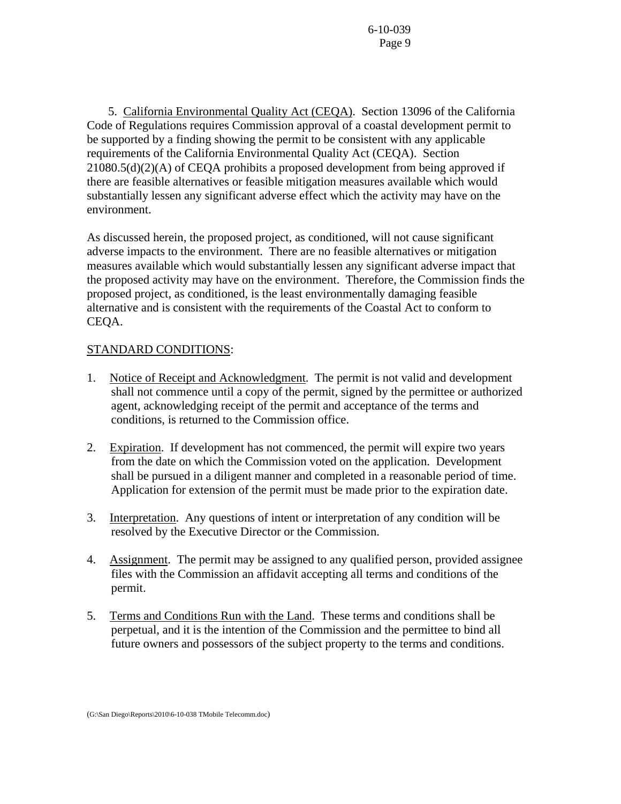5. California Environmental Quality Act (CEQA). Section 13096 of the California Code of Regulations requires Commission approval of a coastal development permit to be supported by a finding showing the permit to be consistent with any applicable requirements of the California Environmental Quality Act (CEQA). Section 21080.5(d)(2)(A) of CEQA prohibits a proposed development from being approved if there are feasible alternatives or feasible mitigation measures available which would substantially lessen any significant adverse effect which the activity may have on the environment.

As discussed herein, the proposed project, as conditioned, will not cause significant adverse impacts to the environment. There are no feasible alternatives or mitigation measures available which would substantially lessen any significant adverse impact that the proposed activity may have on the environment. Therefore, the Commission finds the proposed project, as conditioned, is the least environmentally damaging feasible alternative and is consistent with the requirements of the Coastal Act to conform to CEQA.

## STANDARD CONDITIONS:

- 1. Notice of Receipt and Acknowledgment. The permit is not valid and development shall not commence until a copy of the permit, signed by the permittee or authorized agent, acknowledging receipt of the permit and acceptance of the terms and conditions, is returned to the Commission office.
- 2. Expiration. If development has not commenced, the permit will expire two years from the date on which the Commission voted on the application. Development shall be pursued in a diligent manner and completed in a reasonable period of time. Application for extension of the permit must be made prior to the expiration date.
- 3. Interpretation. Any questions of intent or interpretation of any condition will be resolved by the Executive Director or the Commission.
- 4. Assignment. The permit may be assigned to any qualified person, provided assignee files with the Commission an affidavit accepting all terms and conditions of the permit.
- 5. Terms and Conditions Run with the Land. These terms and conditions shall be perpetual, and it is the intention of the Commission and the permittee to bind all future owners and possessors of the subject property to the terms and conditions.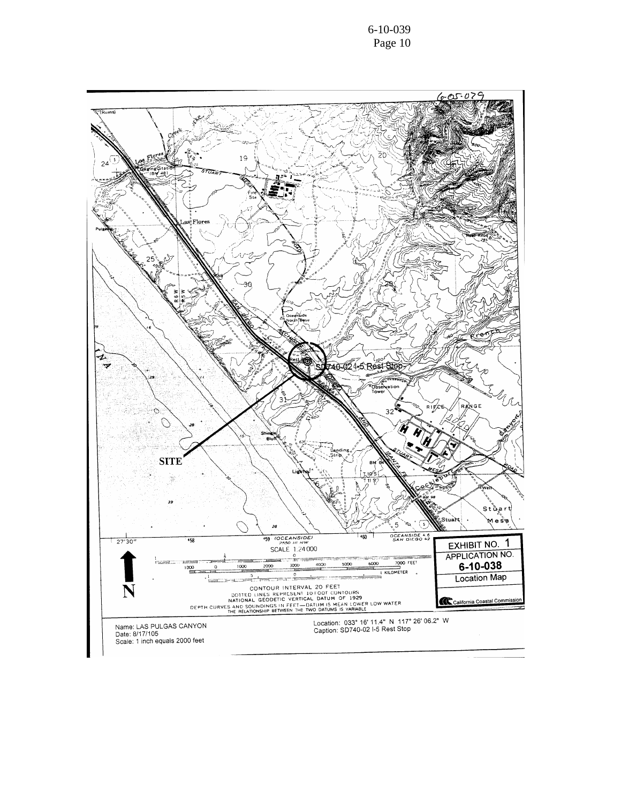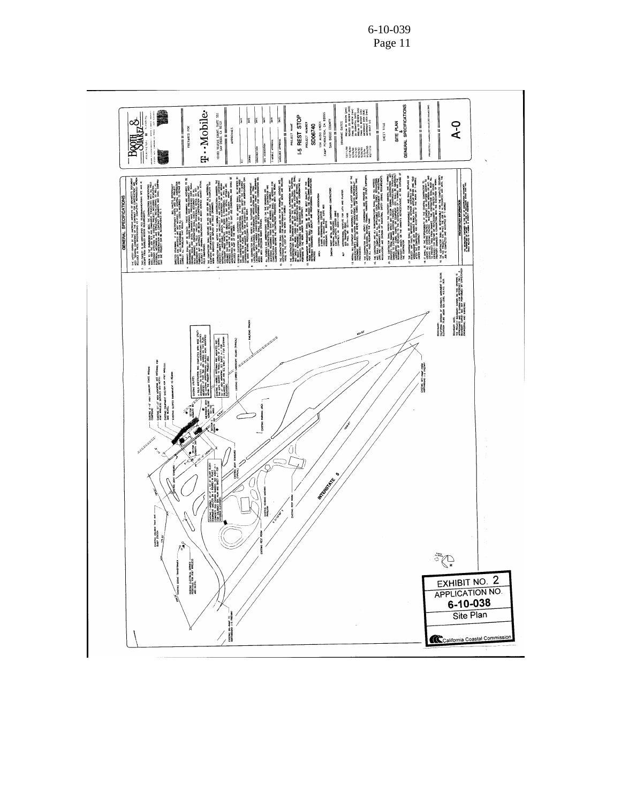

6-10-039 Page 11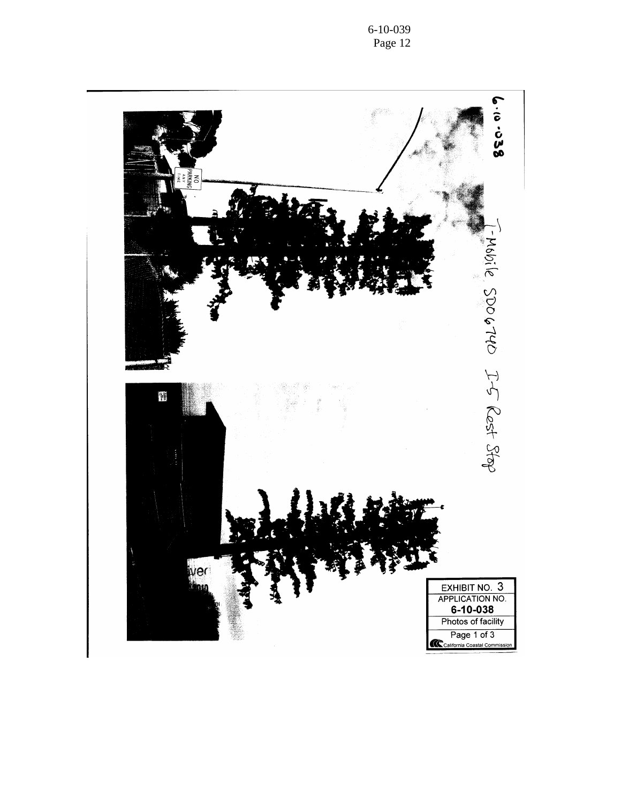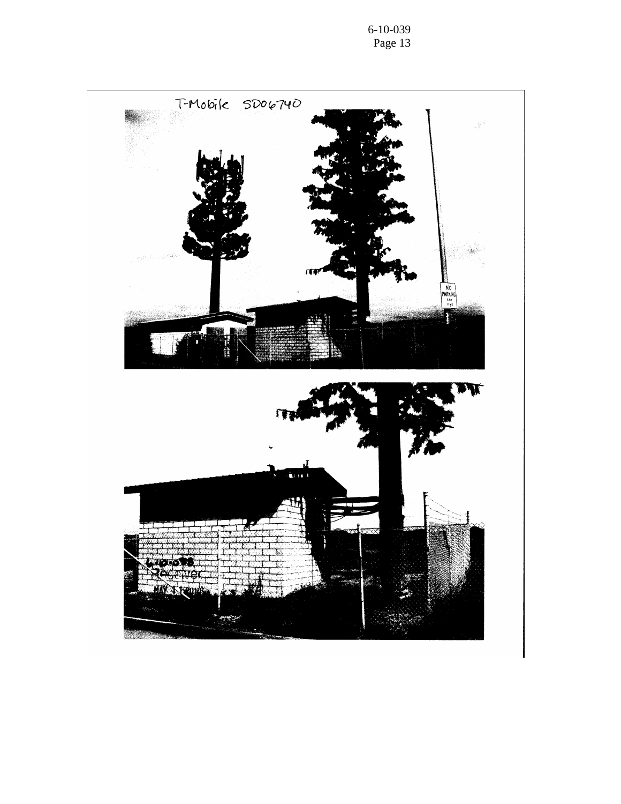